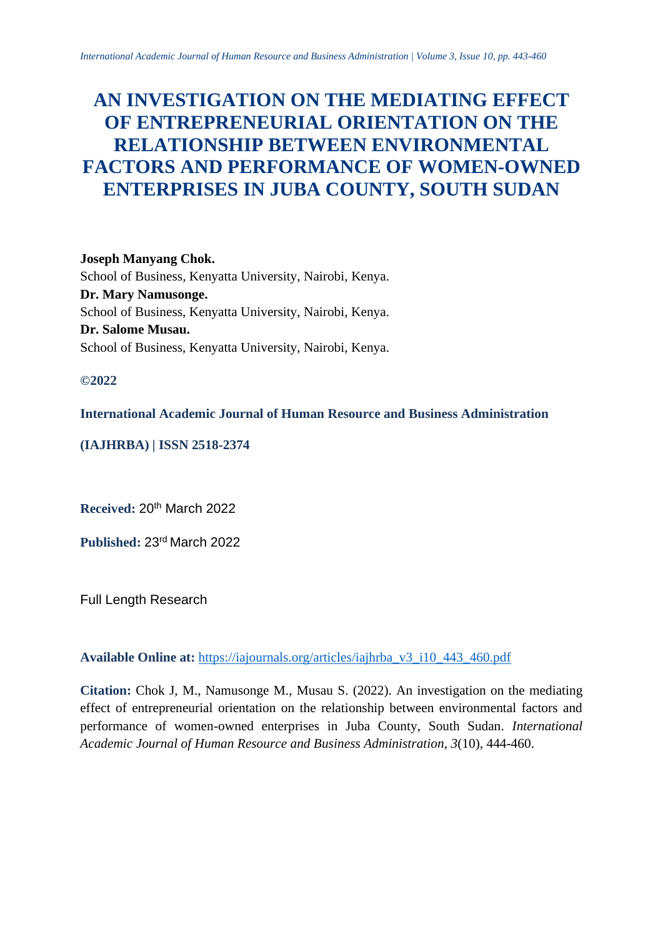# **AN INVESTIGATION ON THE MEDIATING EFFECT OF ENTREPRENEURIAL ORIENTATION ON THE RELATIONSHIP BETWEEN ENVIRONMENTAL FACTORS AND PERFORMANCE OF WOMEN-OWNED ENTERPRISES IN JUBA COUNTY, SOUTH SUDAN**

**Joseph Manyang Chok.** School of Business, Kenyatta University, Nairobi, Kenya. **Dr. Mary Namusonge.** School of Business, Kenyatta University, Nairobi, Kenya. **Dr. Salome Musau.** School of Business, Kenyatta University, Nairobi, Kenya.

# **©2022**

**International Academic Journal of Human Resource and Business Administration**

# **(IAJHRBA) | ISSN 2518-2374**

**Received:** 20th March 2022

**Published:** 23 rd March 2022

Full Length Research

**Available Online at:** [https://iajournals.org/articles/iajhrba\\_v3\\_i10\\_443\\_460.pdf](https://iajournals.org/articles/iajhrba_v3_i10_443_460.pdf)

**Citation:** Chok J, M., Namusonge M., Musau S. (2022). An investigation on the mediating effect of entrepreneurial orientation on the relationship between environmental factors and performance of women-owned enterprises in Juba County, South Sudan. *International Academic Journal of Human Resource and Business Administration, 3*(10), 444-460.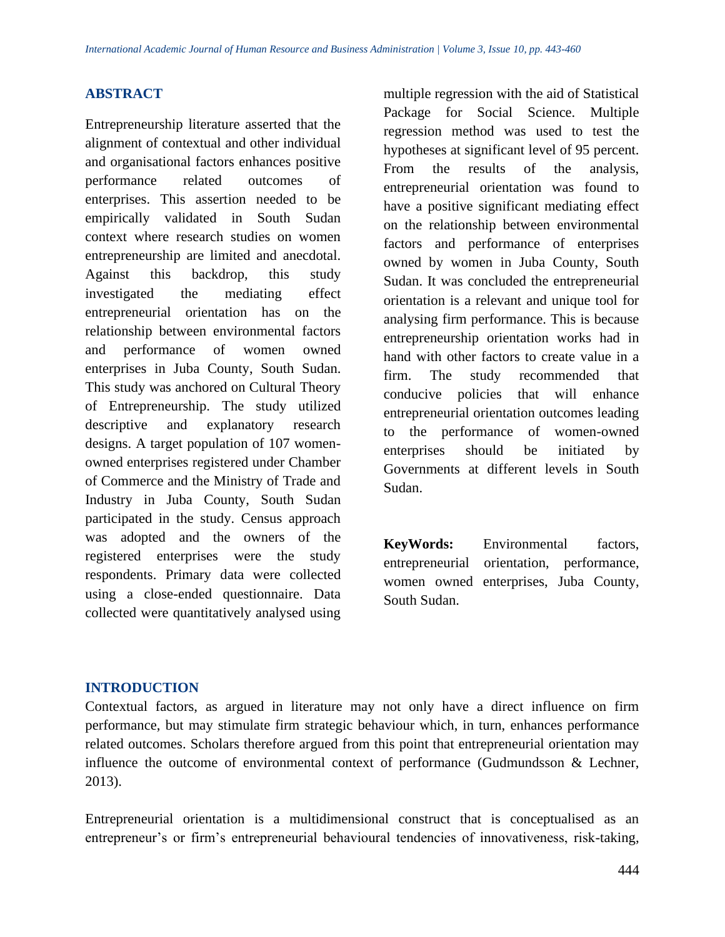# **ABSTRACT**

Entrepreneurship literature asserted that the alignment of contextual and other individual and organisational factors enhances positive performance related outcomes of enterprises. This assertion needed to be empirically validated in South Sudan context where research studies on women entrepreneurship are limited and anecdotal. Against this backdrop, this study investigated the mediating effect entrepreneurial orientation has on the relationship between environmental factors and performance of women owned enterprises in Juba County, South Sudan. This study was anchored on Cultural Theory of Entrepreneurship. The study utilized descriptive and explanatory research designs. A target population of 107 womenowned enterprises registered under Chamber of Commerce and the Ministry of Trade and Industry in Juba County, South Sudan participated in the study. Census approach was adopted and the owners of the registered enterprises were the study respondents. Primary data were collected using a close-ended questionnaire. Data collected were quantitatively analysed using multiple regression with the aid of Statistical Package for Social Science. Multiple regression method was used to test the hypotheses at significant level of 95 percent. From the results of the analysis, entrepreneurial orientation was found to have a positive significant mediating effect on the relationship between environmental factors and performance of enterprises owned by women in Juba County, South Sudan. It was concluded the entrepreneurial orientation is a relevant and unique tool for analysing firm performance. This is because entrepreneurship orientation works had in hand with other factors to create value in a firm. The study recommended that conducive policies that will enhance entrepreneurial orientation outcomes leading to the performance of women-owned enterprises should be initiated by Governments at different levels in South Sudan.

**KeyWords:** Environmental factors, entrepreneurial orientation, performance, women owned enterprises, Juba County, South Sudan.

# **INTRODUCTION**

Contextual factors, as argued in literature may not only have a direct influence on firm performance, but may stimulate firm strategic behaviour which, in turn, enhances performance related outcomes. Scholars therefore argued from this point that entrepreneurial orientation may influence the outcome of environmental context of performance (Gudmundsson & Lechner, 2013).

Entrepreneurial orientation is a multidimensional construct that is conceptualised as an entrepreneur's or firm's entrepreneurial behavioural tendencies of innovativeness, risk-taking,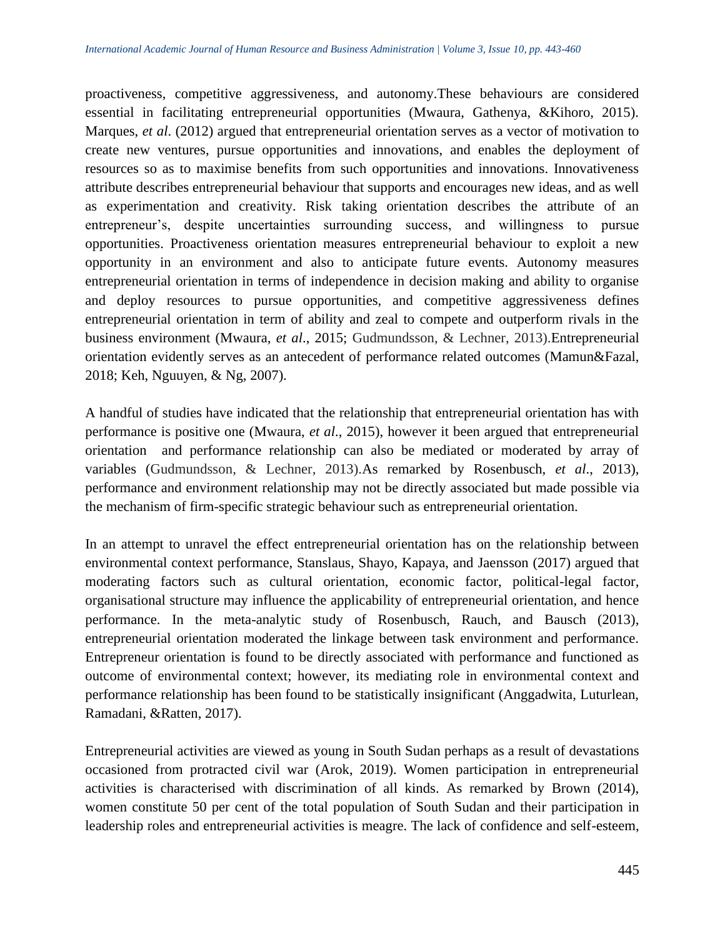proactiveness, competitive aggressiveness, and autonomy.These behaviours are considered essential in facilitating entrepreneurial opportunities (Mwaura, Gathenya, &Kihoro, 2015). Marques, *et al*. (2012) argued that entrepreneurial orientation serves as a vector of motivation to create new ventures, pursue opportunities and innovations, and enables the deployment of resources so as to maximise benefits from such opportunities and innovations. Innovativeness attribute describes entrepreneurial behaviour that supports and encourages new ideas, and as well as experimentation and creativity. Risk taking orientation describes the attribute of an entrepreneur's, despite uncertainties surrounding success, and willingness to pursue opportunities. Proactiveness orientation measures entrepreneurial behaviour to exploit a new opportunity in an environment and also to anticipate future events. Autonomy measures entrepreneurial orientation in terms of independence in decision making and ability to organise and deploy resources to pursue opportunities, and competitive aggressiveness defines entrepreneurial orientation in term of ability and zeal to compete and outperform rivals in the business environment (Mwaura*, et al*., 2015; Gudmundsson, & Lechner, 2013).Entrepreneurial orientation evidently serves as an antecedent of performance related outcomes (Mamun&Fazal, 2018; Keh, Nguuyen, & Ng, 2007).

A handful of studies have indicated that the relationship that entrepreneurial orientation has with performance is positive one (Mwaura, *et al*., 2015), however it been argued that entrepreneurial orientation and performance relationship can also be mediated or moderated by array of variables (Gudmundsson, & Lechner, 2013).As remarked by Rosenbusch, *et al*., 2013), performance and environment relationship may not be directly associated but made possible via the mechanism of firm-specific strategic behaviour such as entrepreneurial orientation.

In an attempt to unravel the effect entrepreneurial orientation has on the relationship between environmental context performance, Stanslaus, Shayo, Kapaya, and Jaensson (2017) argued that moderating factors such as cultural orientation, economic factor, political-legal factor, organisational structure may influence the applicability of entrepreneurial orientation, and hence performance. In the meta-analytic study of Rosenbusch, Rauch, and Bausch (2013), entrepreneurial orientation moderated the linkage between task environment and performance. Entrepreneur orientation is found to be directly associated with performance and functioned as outcome of environmental context; however, its mediating role in environmental context and performance relationship has been found to be statistically insignificant (Anggadwita, Luturlean, Ramadani, &Ratten, 2017).

Entrepreneurial activities are viewed as young in South Sudan perhaps as a result of devastations occasioned from protracted civil war (Arok, 2019). Women participation in entrepreneurial activities is characterised with discrimination of all kinds. As remarked by Brown (2014), women constitute 50 per cent of the total population of South Sudan and their participation in leadership roles and entrepreneurial activities is meagre. The lack of confidence and self-esteem,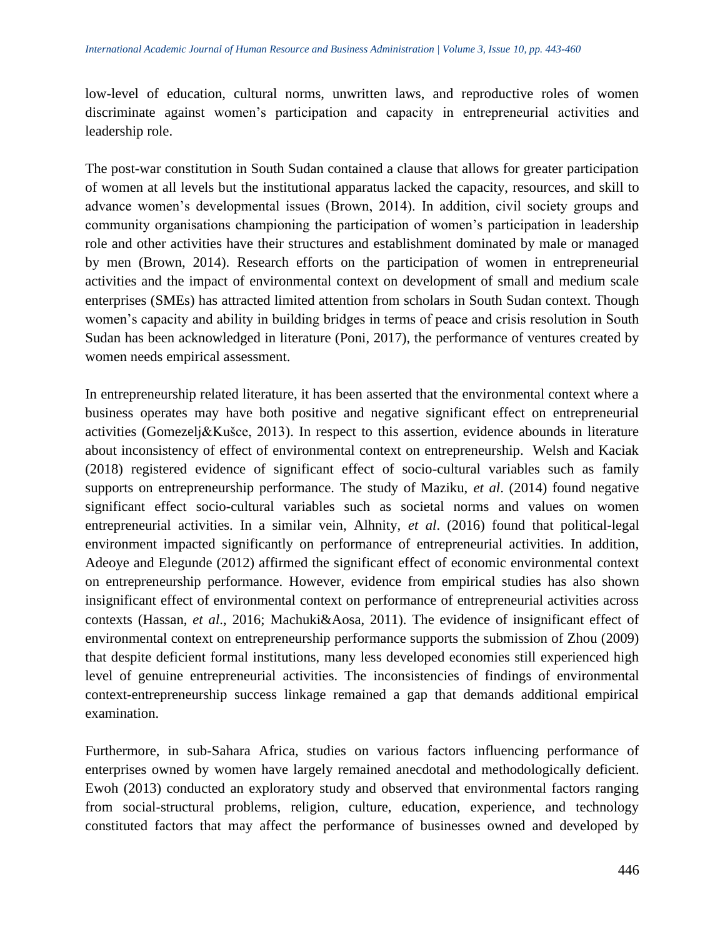low-level of education, cultural norms, unwritten laws, and reproductive roles of women discriminate against women's participation and capacity in entrepreneurial activities and leadership role.

The post-war constitution in South Sudan contained a clause that allows for greater participation of women at all levels but the institutional apparatus lacked the capacity, resources, and skill to advance women's developmental issues (Brown, 2014). In addition, civil society groups and community organisations championing the participation of women's participation in leadership role and other activities have their structures and establishment dominated by male or managed by men (Brown, 2014). Research efforts on the participation of women in entrepreneurial activities and the impact of environmental context on development of small and medium scale enterprises (SMEs) has attracted limited attention from scholars in South Sudan context. Though women's capacity and ability in building bridges in terms of peace and crisis resolution in South Sudan has been acknowledged in literature (Poni, 2017), the performance of ventures created by women needs empirical assessment.

In entrepreneurship related literature, it has been asserted that the environmental context where a business operates may have both positive and negative significant effect on entrepreneurial activities (Gomezelj&Kušce, 2013). In respect to this assertion, evidence abounds in literature about inconsistency of effect of environmental context on entrepreneurship. Welsh and Kaciak (2018) registered evidence of significant effect of socio-cultural variables such as family supports on entrepreneurship performance. The study of Maziku, *et al*. (2014) found negative significant effect socio-cultural variables such as societal norms and values on women entrepreneurial activities. In a similar vein, Alhnity, *et al*. (2016) found that political-legal environment impacted significantly on performance of entrepreneurial activities. In addition, Adeoye and Elegunde (2012) affirmed the significant effect of economic environmental context on entrepreneurship performance. However, evidence from empirical studies has also shown insignificant effect of environmental context on performance of entrepreneurial activities across contexts (Hassan, *et al*., 2016; Machuki&Aosa, 2011). The evidence of insignificant effect of environmental context on entrepreneurship performance supports the submission of Zhou (2009) that despite deficient formal institutions, many less developed economies still experienced high level of genuine entrepreneurial activities. The inconsistencies of findings of environmental context-entrepreneurship success linkage remained a gap that demands additional empirical examination.

Furthermore, in sub-Sahara Africa, studies on various factors influencing performance of enterprises owned by women have largely remained anecdotal and methodologically deficient. Ewoh (2013) conducted an exploratory study and observed that environmental factors ranging from social-structural problems, religion, culture, education, experience, and technology constituted factors that may affect the performance of businesses owned and developed by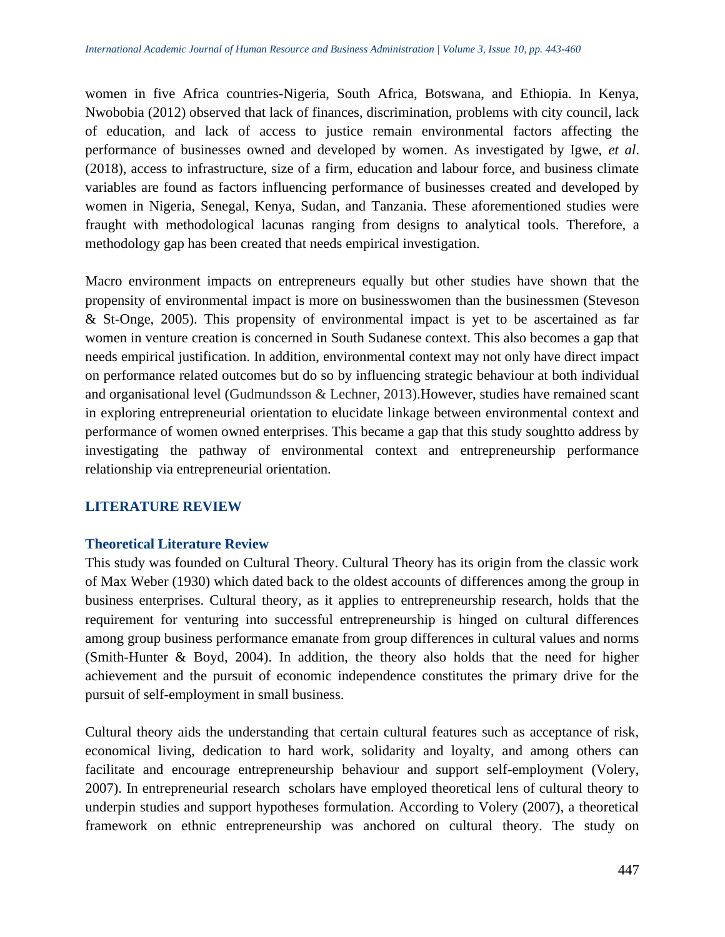women in five Africa countries-Nigeria, South Africa, Botswana, and Ethiopia. In Kenya, Nwobobia (2012) observed that lack of finances, discrimination, problems with city council, lack of education, and lack of access to justice remain environmental factors affecting the performance of businesses owned and developed by women. As investigated by Igwe, *et al*. (2018), access to infrastructure, size of a firm, education and labour force, and business climate variables are found as factors influencing performance of businesses created and developed by women in Nigeria, Senegal, Kenya, Sudan, and Tanzania. These aforementioned studies were fraught with methodological lacunas ranging from designs to analytical tools. Therefore, a methodology gap has been created that needs empirical investigation.

Macro environment impacts on entrepreneurs equally but other studies have shown that the propensity of environmental impact is more on businesswomen than the businessmen (Steveson & St-Onge, 2005). This propensity of environmental impact is yet to be ascertained as far women in venture creation is concerned in South Sudanese context. This also becomes a gap that needs empirical justification. In addition, environmental context may not only have direct impact on performance related outcomes but do so by influencing strategic behaviour at both individual and organisational level (Gudmundsson & Lechner, 2013).However, studies have remained scant in exploring entrepreneurial orientation to elucidate linkage between environmental context and performance of women owned enterprises. This became a gap that this study soughtto address by investigating the pathway of environmental context and entrepreneurship performance relationship via entrepreneurial orientation.

## **LITERATURE REVIEW**

## **Theoretical Literature Review**

This study was founded on Cultural Theory. Cultural Theory has its origin from the classic work of Max Weber (1930) which dated back to the oldest accounts of differences among the group in business enterprises. Cultural theory, as it applies to entrepreneurship research, holds that the requirement for venturing into successful entrepreneurship is hinged on cultural differences among group business performance emanate from group differences in cultural values and norms (Smith-Hunter & Boyd, 2004). In addition, the theory also holds that the need for higher achievement and the pursuit of economic independence constitutes the primary drive for the pursuit of self-employment in small business.

Cultural theory aids the understanding that certain cultural features such as acceptance of risk, economical living, dedication to hard work, solidarity and loyalty, and among others can facilitate and encourage entrepreneurship behaviour and support self-employment (Volery, 2007). In entrepreneurial research scholars have employed theoretical lens of cultural theory to underpin studies and support hypotheses formulation. According to Volery (2007), a theoretical framework on ethnic entrepreneurship was anchored on cultural theory. The study on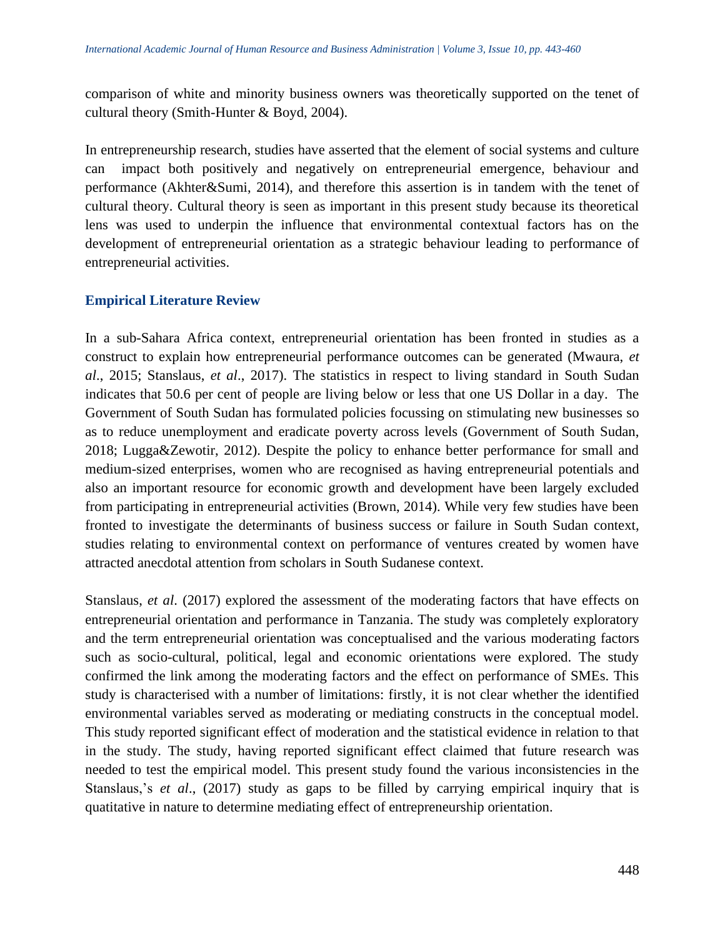comparison of white and minority business owners was theoretically supported on the tenet of cultural theory (Smith-Hunter & Boyd, 2004).

In entrepreneurship research, studies have asserted that the element of social systems and culture can impact both positively and negatively on entrepreneurial emergence, behaviour and performance (Akhter&Sumi, 2014), and therefore this assertion is in tandem with the tenet of cultural theory. Cultural theory is seen as important in this present study because its theoretical lens was used to underpin the influence that environmental contextual factors has on the development of entrepreneurial orientation as a strategic behaviour leading to performance of entrepreneurial activities.

## **Empirical Literature Review**

In a sub-Sahara Africa context, entrepreneurial orientation has been fronted in studies as a construct to explain how entrepreneurial performance outcomes can be generated (Mwaura, *et al*., 2015; Stanslaus, *et al*., 2017). The statistics in respect to living standard in South Sudan indicates that 50.6 per cent of people are living below or less that one US Dollar in a day. The Government of South Sudan has formulated policies focussing on stimulating new businesses so as to reduce unemployment and eradicate poverty across levels (Government of South Sudan, 2018; Lugga&Zewotir, 2012). Despite the policy to enhance better performance for small and medium-sized enterprises, women who are recognised as having entrepreneurial potentials and also an important resource for economic growth and development have been largely excluded from participating in entrepreneurial activities (Brown, 2014). While very few studies have been fronted to investigate the determinants of business success or failure in South Sudan context, studies relating to environmental context on performance of ventures created by women have attracted anecdotal attention from scholars in South Sudanese context.

Stanslaus, *et al*. (2017) explored the assessment of the moderating factors that have effects on entrepreneurial orientation and performance in Tanzania. The study was completely exploratory and the term entrepreneurial orientation was conceptualised and the various moderating factors such as socio-cultural, political, legal and economic orientations were explored. The study confirmed the link among the moderating factors and the effect on performance of SMEs. This study is characterised with a number of limitations: firstly, it is not clear whether the identified environmental variables served as moderating or mediating constructs in the conceptual model. This study reported significant effect of moderation and the statistical evidence in relation to that in the study. The study, having reported significant effect claimed that future research was needed to test the empirical model. This present study found the various inconsistencies in the Stanslaus,'s *et al*., (2017) study as gaps to be filled by carrying empirical inquiry that is quatitative in nature to determine mediating effect of entrepreneurship orientation.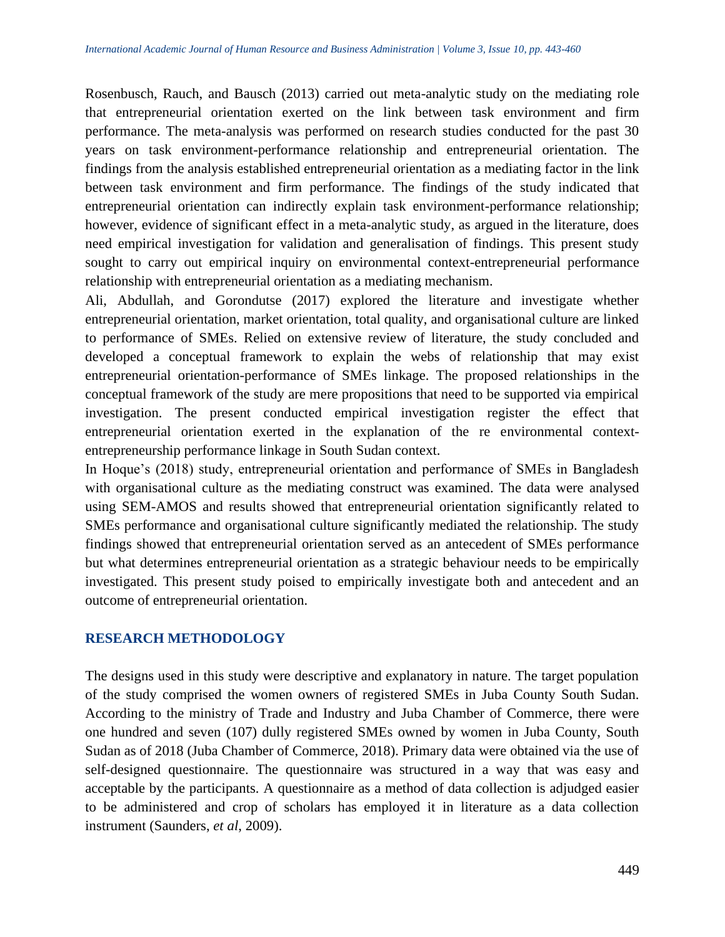Rosenbusch, Rauch, and Bausch (2013) carried out meta-analytic study on the mediating role that entrepreneurial orientation exerted on the link between task environment and firm performance. The meta-analysis was performed on research studies conducted for the past 30 years on task environment-performance relationship and entrepreneurial orientation. The findings from the analysis established entrepreneurial orientation as a mediating factor in the link between task environment and firm performance. The findings of the study indicated that entrepreneurial orientation can indirectly explain task environment-performance relationship; however, evidence of significant effect in a meta-analytic study, as argued in the literature, does need empirical investigation for validation and generalisation of findings. This present study sought to carry out empirical inquiry on environmental context-entrepreneurial performance relationship with entrepreneurial orientation as a mediating mechanism.

Ali, Abdullah, and Gorondutse (2017) explored the literature and investigate whether entrepreneurial orientation, market orientation, total quality, and organisational culture are linked to performance of SMEs. Relied on extensive review of literature, the study concluded and developed a conceptual framework to explain the webs of relationship that may exist entrepreneurial orientation-performance of SMEs linkage. The proposed relationships in the conceptual framework of the study are mere propositions that need to be supported via empirical investigation. The present conducted empirical investigation register the effect that entrepreneurial orientation exerted in the explanation of the re environmental contextentrepreneurship performance linkage in South Sudan context.

In Hoque's (2018) study, entrepreneurial orientation and performance of SMEs in Bangladesh with organisational culture as the mediating construct was examined. The data were analysed using SEM-AMOS and results showed that entrepreneurial orientation significantly related to SMEs performance and organisational culture significantly mediated the relationship. The study findings showed that entrepreneurial orientation served as an antecedent of SMEs performance but what determines entrepreneurial orientation as a strategic behaviour needs to be empirically investigated. This present study poised to empirically investigate both and antecedent and an outcome of entrepreneurial orientation.

#### **RESEARCH METHODOLOGY**

The designs used in this study were descriptive and explanatory in nature. The target population of the study comprised the women owners of registered SMEs in Juba County South Sudan. According to the ministry of Trade and Industry and Juba Chamber of Commerce, there were one hundred and seven (107) dully registered SMEs owned by women in Juba County, South Sudan as of 2018 (Juba Chamber of Commerce, 2018). Primary data were obtained via the use of self-designed questionnaire. The questionnaire was structured in a way that was easy and acceptable by the participants. A questionnaire as a method of data collection is adjudged easier to be administered and crop of scholars has employed it in literature as a data collection instrument (Saunders, *et al*, 2009).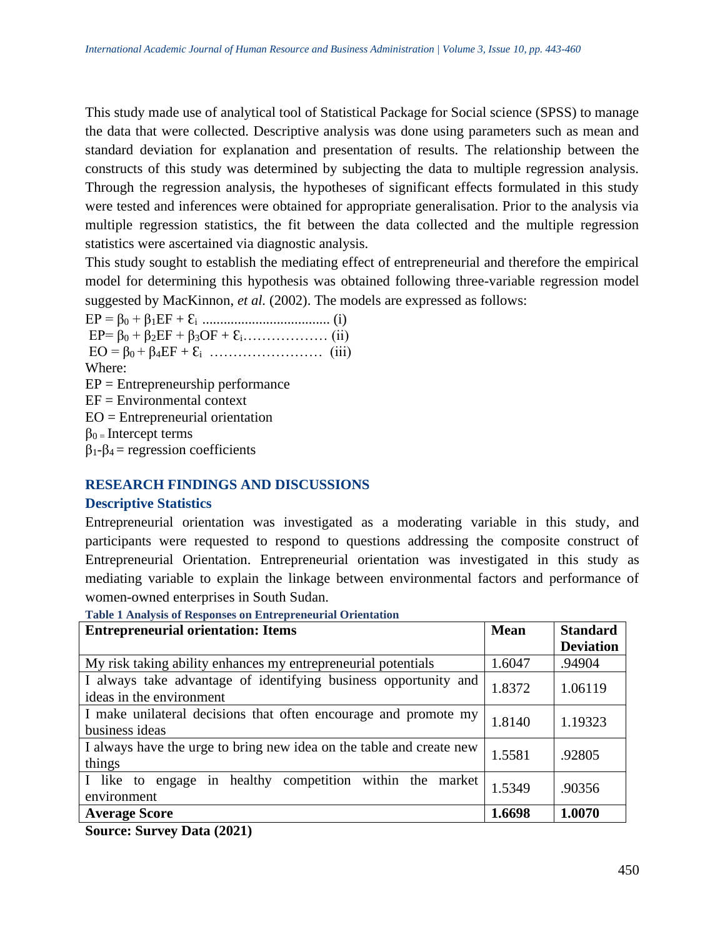This study made use of analytical tool of Statistical Package for Social science (SPSS) to manage the data that were collected. Descriptive analysis was done using parameters such as mean and standard deviation for explanation and presentation of results. The relationship between the constructs of this study was determined by subjecting the data to multiple regression analysis. Through the regression analysis, the hypotheses of significant effects formulated in this study were tested and inferences were obtained for appropriate generalisation. Prior to the analysis via multiple regression statistics, the fit between the data collected and the multiple regression statistics were ascertained via diagnostic analysis.

This study sought to establish the mediating effect of entrepreneurial and therefore the empirical model for determining this hypothesis was obtained following three-variable regression model suggested by MacKinnon, *et al.* (2002). The models are expressed as follows:

EP = β<sup>0</sup> + β1EF + Ԑi .................................... (i) EP= β<sup>0</sup> + β2EF + β3OF + Ԑi……………… (ii) EO = β0 + β4EF + Ԑi …………………… (iii) Where:  $EP =$  Entrepreneurship performance  $EF = Environmental context$ EO = Entrepreneurial orientation  $\beta_0$  = Intercept terms β1-β4 = regression coefficients

## **RESEARCH FINDINGS AND DISCUSSIONS**

## **Descriptive Statistics**

Entrepreneurial orientation was investigated as a moderating variable in this study, and participants were requested to respond to questions addressing the composite construct of Entrepreneurial Orientation. Entrepreneurial orientation was investigated in this study as mediating variable to explain the linkage between environmental factors and performance of women-owned enterprises in South Sudan.

**Table 1 Analysis of Responses on Entrepreneurial Orientation**

| <b>Entrepreneurial orientation: Items</b>                                                   | <b>Mean</b> | <b>Standard</b>  |
|---------------------------------------------------------------------------------------------|-------------|------------------|
|                                                                                             |             | <b>Deviation</b> |
| My risk taking ability enhances my entrepreneurial potentials                               | 1.6047      | .94904           |
| I always take advantage of identifying business opportunity and<br>ideas in the environment | 1.8372      | 1.06119          |
| I make unilateral decisions that often encourage and promote my<br>business ideas           | 1.8140      | 1.19323          |
| I always have the urge to bring new idea on the table and create new<br>things              | 1.5581      | .92805           |
| engage in healthy competition within the market<br>I like to<br>environment                 | 1.5349      | .90356           |
| <b>Average Score</b>                                                                        | 1.6698      | 1.0070           |

**Source: Survey Data (2021)**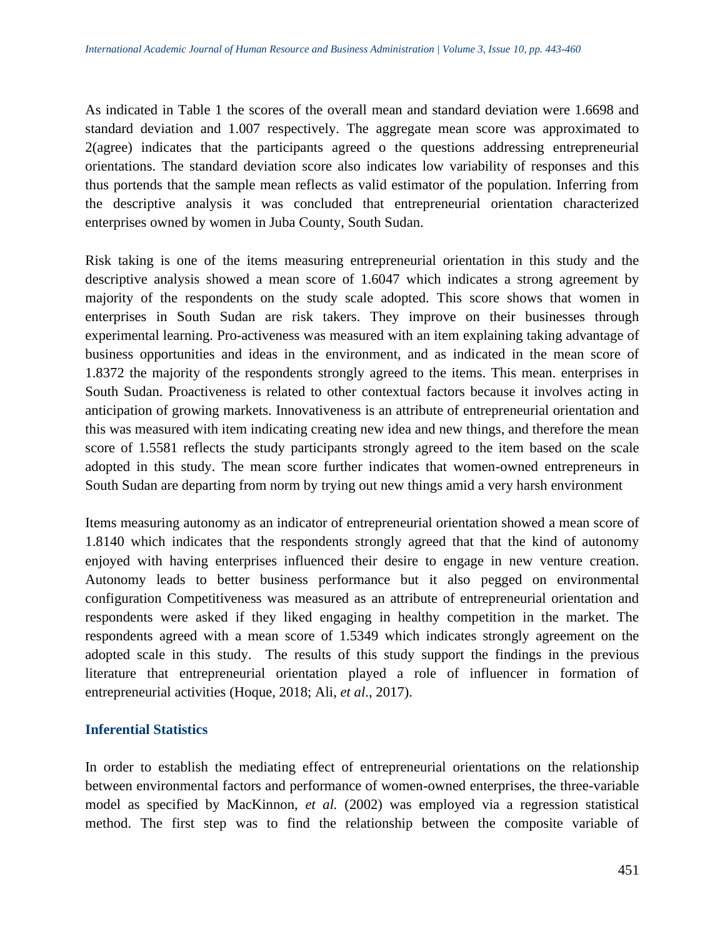As indicated in Table 1 the scores of the overall mean and standard deviation were 1.6698 and standard deviation and 1.007 respectively. The aggregate mean score was approximated to 2(agree) indicates that the participants agreed o the questions addressing entrepreneurial orientations. The standard deviation score also indicates low variability of responses and this thus portends that the sample mean reflects as valid estimator of the population. Inferring from the descriptive analysis it was concluded that entrepreneurial orientation characterized enterprises owned by women in Juba County, South Sudan.

Risk taking is one of the items measuring entrepreneurial orientation in this study and the descriptive analysis showed a mean score of 1.6047 which indicates a strong agreement by majority of the respondents on the study scale adopted. This score shows that women in enterprises in South Sudan are risk takers. They improve on their businesses through experimental learning. Pro-activeness was measured with an item explaining taking advantage of business opportunities and ideas in the environment, and as indicated in the mean score of 1.8372 the majority of the respondents strongly agreed to the items. This mean. enterprises in South Sudan. Proactiveness is related to other contextual factors because it involves acting in anticipation of growing markets. Innovativeness is an attribute of entrepreneurial orientation and this was measured with item indicating creating new idea and new things, and therefore the mean score of 1.5581 reflects the study participants strongly agreed to the item based on the scale adopted in this study. The mean score further indicates that women-owned entrepreneurs in South Sudan are departing from norm by trying out new things amid a very harsh environment

Items measuring autonomy as an indicator of entrepreneurial orientation showed a mean score of 1.8140 which indicates that the respondents strongly agreed that that the kind of autonomy enjoyed with having enterprises influenced their desire to engage in new venture creation. Autonomy leads to better business performance but it also pegged on environmental configuration Competitiveness was measured as an attribute of entrepreneurial orientation and respondents were asked if they liked engaging in healthy competition in the market. The respondents agreed with a mean score of 1.5349 which indicates strongly agreement on the adopted scale in this study. The results of this study support the findings in the previous literature that entrepreneurial orientation played a role of influencer in formation of entrepreneurial activities (Hoque, 2018; Ali, *et al*., 2017).

## **Inferential Statistics**

In order to establish the mediating effect of entrepreneurial orientations on the relationship between environmental factors and performance of women-owned enterprises, the three-variable model as specified by MacKinnon, *et al.* (2002) was employed via a regression statistical method. The first step was to find the relationship between the composite variable of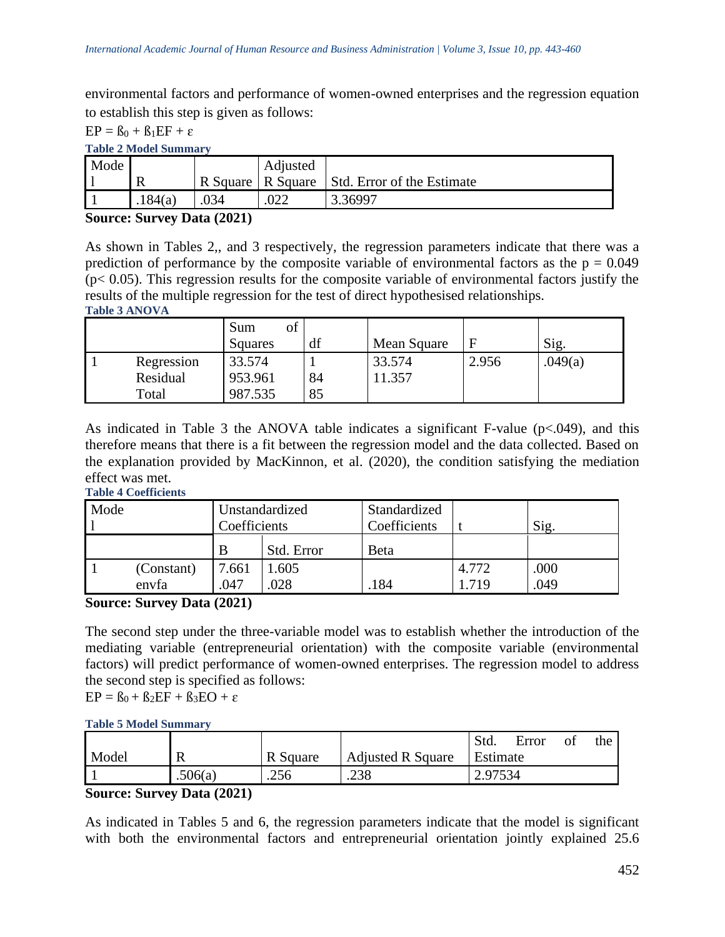environmental factors and performance of women-owned enterprises and the regression equation to establish this step is given as follows:

 $EP = B_0 + B_1EF + \varepsilon$ 

## **Table 2 Model Summary**

| Mode |         |          | Adjusted |                            |
|------|---------|----------|----------|----------------------------|
|      |         | R Square | R Square | Std. Error of the Estimate |
|      | .184(a) |          |          | 3.36997                    |

## **Source: Survey Data (2021)**

As shown in Tables 2,, and 3 respectively, the regression parameters indicate that there was a prediction of performance by the composite variable of environmental factors as the  $p = 0.049$  $(p< 0.05)$ . This regression results for the composite variable of environmental factors justify the results of the multiple regression for the test of direct hypothesised relationships. **Table 3 ANOVA**

|            | Sum<br>Οl<br>Squares | df | Mean Square | E     | Sig.    |
|------------|----------------------|----|-------------|-------|---------|
| Regression | 33.574               |    | 33.574      | 2.956 | .049(a) |
| Residual   | 953.961              | 84 | 1.357       |       |         |
| Total      | 987.535              | 85 |             |       |         |

As indicated in Table 3 the ANOVA table indicates a significant F-value ( $p<0.049$ ), and this therefore means that there is a fit between the regression model and the data collected. Based on the explanation provided by MacKinnon, et al. (2020), the condition satisfying the mediation effect was met.

#### **Table 4 Coefficients**

| Mode<br>Unstandardized<br>Coefficients |            |       | Standardized<br>Coefficients |              | Sig.  |      |
|----------------------------------------|------------|-------|------------------------------|--------------|-------|------|
|                                        |            | B     | Std. Error                   | <b>B</b> eta |       |      |
|                                        | (Constant) | 7.661 | .605                         |              | 4.772 | .000 |
|                                        | envfa      | .047  | 028                          | .184         | 719   | .049 |

## **Source: Survey Data (2021)**

The second step under the three-variable model was to establish whether the introduction of the mediating variable (entrepreneurial orientation) with the composite variable (environmental factors) will predict performance of women-owned enterprises. The regression model to address the second step is specified as follows:

 $EP = B_0 + B_2EF + B_3EO + \varepsilon$ 

#### **Table 5 Model Summary**

|       |         |          |                          | Std.     | Error | Οİ | the |
|-------|---------|----------|--------------------------|----------|-------|----|-----|
| Model | v       | R Square | <b>Adjusted R Square</b> | Estimate |       |    |     |
|       | .506(a) | .256     | .238                     | 2.97534  |       |    |     |

**Source: Survey Data (2021)**

As indicated in Tables 5 and 6, the regression parameters indicate that the model is significant with both the environmental factors and entrepreneurial orientation jointly explained 25.6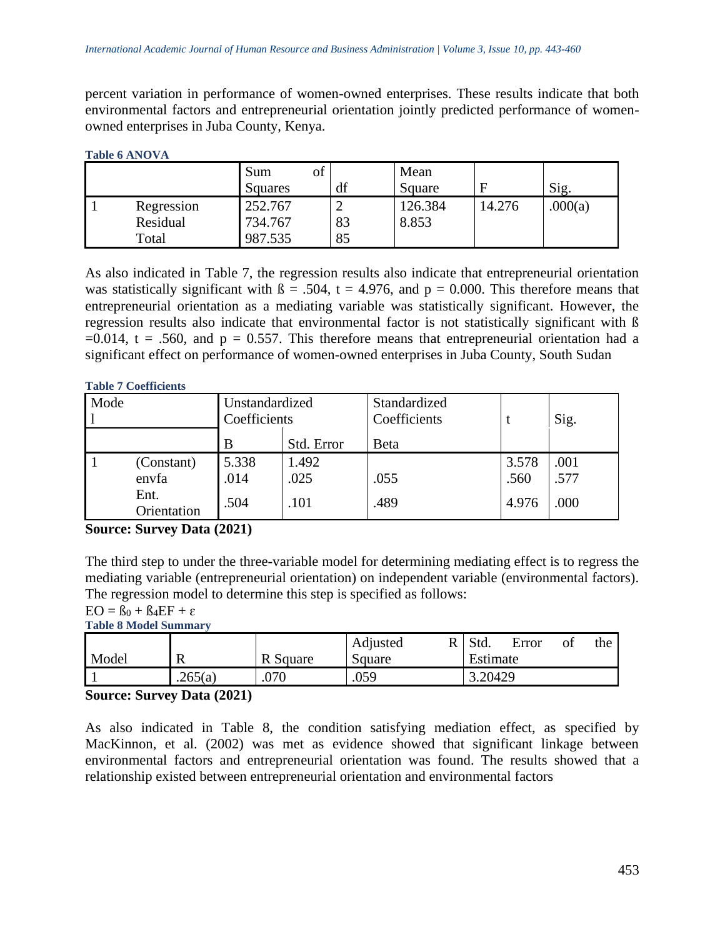percent variation in performance of women-owned enterprises. These results indicate that both environmental factors and entrepreneurial orientation jointly predicted performance of womenowned enterprises in Juba County, Kenya.

#### **Table 6 ANOVA**

|            | Sum     |    | Mean    |        |         |
|------------|---------|----|---------|--------|---------|
|            | Squares | df | Square  |        | Sig.    |
| Regression | 252.767 |    | 126.384 | 14.276 | .000(a) |
| Residual   | 734.767 | 83 | 8.853   |        |         |
| Total      | 987.535 | 85 |         |        |         |

As also indicated in Table 7, the regression results also indicate that entrepreneurial orientation was statistically significant with  $\beta = .504$ ,  $t = 4.976$ , and  $p = 0.000$ . This therefore means that entrepreneurial orientation as a mediating variable was statistically significant. However, the regression results also indicate that environmental factor is not statistically significant with ß  $=0.014$ , t = .560, and p = 0.557. This therefore means that entrepreneurial orientation had a significant effect on performance of women-owned enterprises in Juba County, South Sudan

#### **Table 7 Coefficients**

| Mode<br>Unstandardized<br>Coefficients |                                            |                       | Standardized<br>Coefficients |              | Sig.                   |                      |
|----------------------------------------|--------------------------------------------|-----------------------|------------------------------|--------------|------------------------|----------------------|
|                                        |                                            | B                     | Std. Error                   | Beta         |                        |                      |
|                                        | (Constant)<br>envfa<br>Ent.<br>Orientation | 5.338<br>.014<br>.504 | 1.492<br>.025<br>.101        | .055<br>.489 | 3.578<br>.560<br>4.976 | .001<br>.577<br>.000 |

#### **Source: Survey Data (2021)**

The third step to under the three-variable model for determining mediating effect is to regress the mediating variable (entrepreneurial orientation) on independent variable (environmental factors). The regression model to determine this step is specified as follows:

 $EO = B_0 + B_4 EF + \varepsilon$ 

**Table 8 Model Summary**

|       |         |        | Adjusted | Std.     | Error | Οİ | the |
|-------|---------|--------|----------|----------|-------|----|-----|
| Model | -18     | Square | Square   | Estimate |       |    |     |
|       | .265(a) | .070   | .059     | 3.20429  |       |    |     |

## **Source: Survey Data (2021)**

As also indicated in Table 8, the condition satisfying mediation effect, as specified by MacKinnon, et al. (2002) was met as evidence showed that significant linkage between environmental factors and entrepreneurial orientation was found. The results showed that a relationship existed between entrepreneurial orientation and environmental factors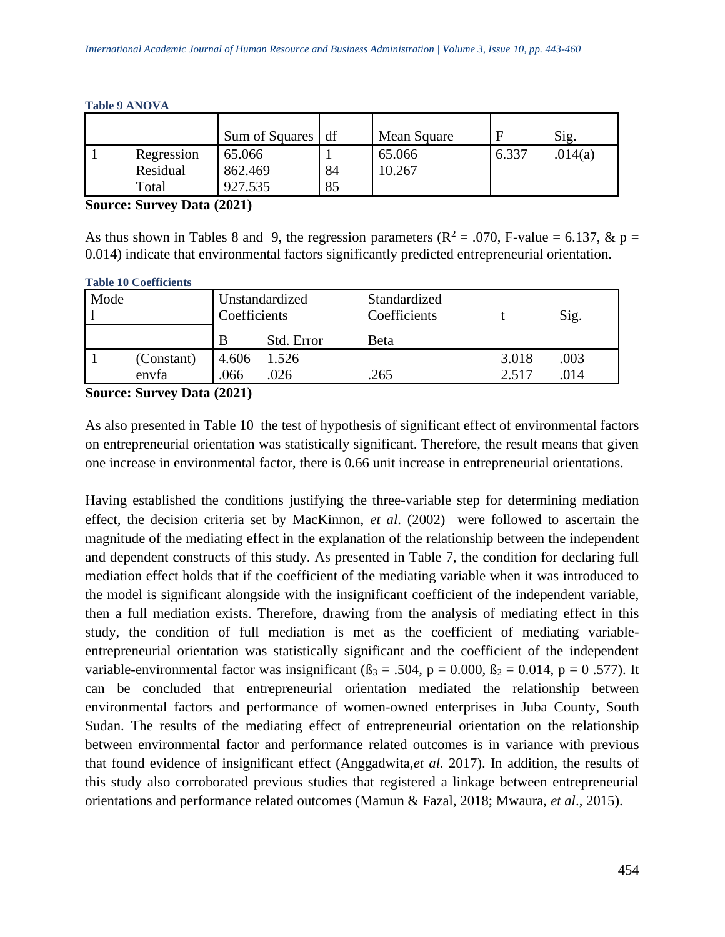|            | Sum of Squares | df | Mean Square |       | Sig.    |
|------------|----------------|----|-------------|-------|---------|
| Regression | 65.066         |    | 65.066      | 6.337 | .014(a) |
| Residual   | 862.469        | 84 | 10.267      |       |         |
| Total      | 927.535        | 85 |             |       |         |

#### **Table 9 ANOVA**

**Source: Survey Data (2021)**

As thus shown in Tables 8 and 9, the regression parameters ( $\mathbb{R}^2 = .070$ , F-value = 6.137, & p = 0.014) indicate that environmental factors significantly predicted entrepreneurial orientation.

| Mode |            | Unstandardized<br>Coefficients |            | Standardized<br>Coefficients |       | Sig. |
|------|------------|--------------------------------|------------|------------------------------|-------|------|
|      |            | B                              | Std. Error | <b>Beta</b>                  |       |      |
|      | (Constant) | 4.606                          | .526       |                              | 3.018 | .003 |
|      | envfa      | .066                           | 026        | 265                          | 2.517 | .014 |

**Source: Survey Data (2021)**

As also presented in Table 10 the test of hypothesis of significant effect of environmental factors on entrepreneurial orientation was statistically significant. Therefore, the result means that given one increase in environmental factor, there is 0.66 unit increase in entrepreneurial orientations.

Having established the conditions justifying the three-variable step for determining mediation effect, the decision criteria set by MacKinnon, *et al*. (2002) were followed to ascertain the magnitude of the mediating effect in the explanation of the relationship between the independent and dependent constructs of this study. As presented in Table 7, the condition for declaring full mediation effect holds that if the coefficient of the mediating variable when it was introduced to the model is significant alongside with the insignificant coefficient of the independent variable, then a full mediation exists. Therefore, drawing from the analysis of mediating effect in this study, the condition of full mediation is met as the coefficient of mediating variableentrepreneurial orientation was statistically significant and the coefficient of the independent variable-environmental factor was insignificant ( $\beta_3 = .504$ ,  $p = 0.000$ ,  $\beta_2 = 0.014$ ,  $p = 0.577$ ). It can be concluded that entrepreneurial orientation mediated the relationship between environmental factors and performance of women-owned enterprises in Juba County, South Sudan. The results of the mediating effect of entrepreneurial orientation on the relationship between environmental factor and performance related outcomes is in variance with previous that found evidence of insignificant effect (Anggadwita,*et al.* 2017). In addition, the results of this study also corroborated previous studies that registered a linkage between entrepreneurial orientations and performance related outcomes (Mamun & Fazal, 2018; Mwaura, *et al*., 2015).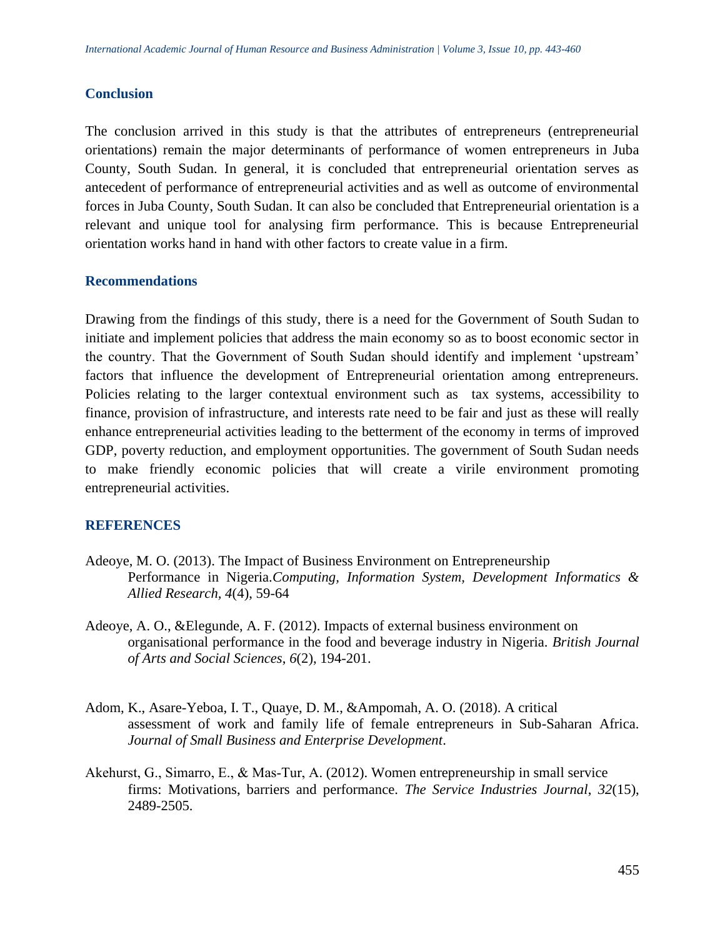#### **Conclusion**

The conclusion arrived in this study is that the attributes of entrepreneurs (entrepreneurial orientations) remain the major determinants of performance of women entrepreneurs in Juba County, South Sudan. In general, it is concluded that entrepreneurial orientation serves as antecedent of performance of entrepreneurial activities and as well as outcome of environmental forces in Juba County, South Sudan. It can also be concluded that Entrepreneurial orientation is a relevant and unique tool for analysing firm performance. This is because Entrepreneurial orientation works hand in hand with other factors to create value in a firm.

#### **Recommendations**

Drawing from the findings of this study, there is a need for the Government of South Sudan to initiate and implement policies that address the main economy so as to boost economic sector in the country. That the Government of South Sudan should identify and implement 'upstream' factors that influence the development of Entrepreneurial orientation among entrepreneurs. Policies relating to the larger contextual environment such as tax systems, accessibility to finance, provision of infrastructure, and interests rate need to be fair and just as these will really enhance entrepreneurial activities leading to the betterment of the economy in terms of improved GDP, poverty reduction, and employment opportunities. The government of South Sudan needs to make friendly economic policies that will create a virile environment promoting entrepreneurial activities.

#### **REFERENCES**

- Adeoye, M. O. (2013). The Impact of Business Environment on Entrepreneurship Performance in Nigeria.*Computing, Information System, Development Informatics & Allied Research, 4*(4), 59-64
- Adeoye, A. O., &Elegunde, A. F. (2012). Impacts of external business environment on organisational performance in the food and beverage industry in Nigeria. *British Journal of Arts and Social Sciences*, *6*(2), 194-201.
- Adom, K., Asare-Yeboa, I. T., Quaye, D. M., &Ampomah, A. O. (2018). A critical assessment of work and family life of female entrepreneurs in Sub-Saharan Africa. *Journal of Small Business and Enterprise Development*.
- Akehurst, G., Simarro, E., & Mas‐Tur, A. (2012). Women entrepreneurship in small service firms: Motivations, barriers and performance. *The Service Industries Journal*, *32*(15), 2489-2505.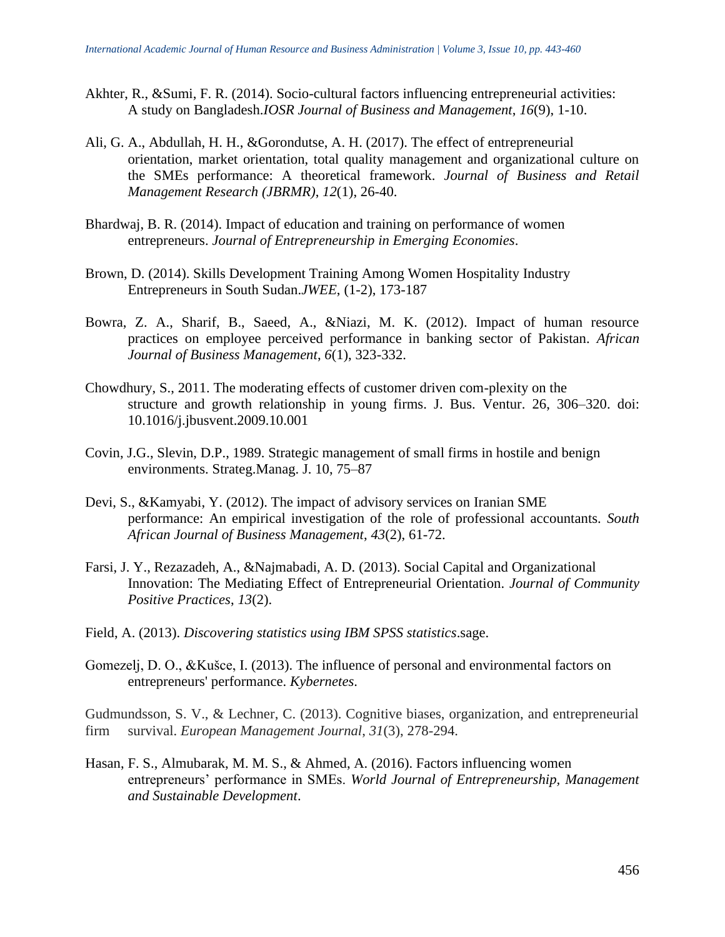- Akhter, R., &Sumi, F. R. (2014). Socio-cultural factors influencing entrepreneurial activities: A study on Bangladesh.*IOSR Journal of Business and Management*, *16*(9), 1-10.
- Ali, G. A., Abdullah, H. H., &Gorondutse, A. H. (2017). The effect of entrepreneurial orientation, market orientation, total quality management and organizational culture on the SMEs performance: A theoretical framework. *Journal of Business and Retail Management Research (JBRMR)*, *12*(1), 26-40.
- Bhardwaj, B. R. (2014). Impact of education and training on performance of women entrepreneurs. *Journal of Entrepreneurship in Emerging Economies*.
- Brown, D. (2014). Skills Development Training Among Women Hospitality Industry Entrepreneurs in South Sudan.*JWEE*, (1-2), 173-187
- Bowra, Z. A., Sharif, B., Saeed, A., &Niazi, M. K. (2012). Impact of human resource practices on employee perceived performance in banking sector of Pakistan. *African Journal of Business Management*, *6*(1), 323-332.
- Chowdhury, S., 2011. The moderating effects of customer driven com-plexity on the structure and growth relationship in young firms. J. Bus. Ventur. 26, 306–320. doi: 10.1016/j.jbusvent.2009.10.001
- Covin, J.G., Slevin, D.P., 1989. Strategic management of small firms in hostile and benign environments. Strateg.Manag. J. 10, 75–87
- Devi, S., &Kamyabi, Y. (2012). The impact of advisory services on Iranian SME performance: An empirical investigation of the role of professional accountants. *South African Journal of Business Management*, *43*(2), 61-72.
- Farsi, J. Y., Rezazadeh, A., &Najmabadi, A. D. (2013). Social Capital and Organizational Innovation: The Mediating Effect of Entrepreneurial Orientation. *Journal of Community Positive Practices*, *13*(2).
- Field, A. (2013). *Discovering statistics using IBM SPSS statistics*.sage.
- Gomezelj, D. O., &Kušce, I. (2013). The influence of personal and environmental factors on entrepreneurs' performance. *Kybernetes*.

Gudmundsson, S. V., & Lechner, C. (2013). Cognitive biases, organization, and entrepreneurial firm survival. *European Management Journal*, *31*(3), 278-294.

Hasan, F. S., Almubarak, M. M. S., & Ahmed, A. (2016). Factors influencing women entrepreneurs' performance in SMEs. *World Journal of Entrepreneurship, Management and Sustainable Development*.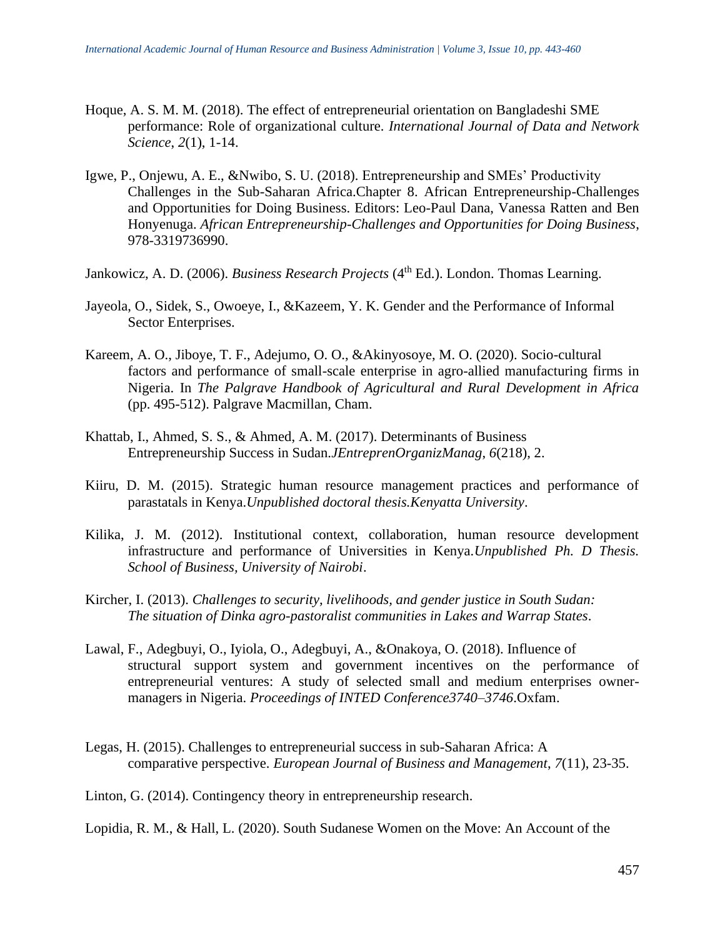- Hoque, A. S. M. M. (2018). The effect of entrepreneurial orientation on Bangladeshi SME performance: Role of organizational culture. *International Journal of Data and Network Science*, *2*(1), 1-14.
- Igwe, P., Onjewu, A. E., &Nwibo, S. U. (2018). Entrepreneurship and SMEs' Productivity Challenges in the Sub-Saharan Africa.Chapter 8. African Entrepreneurship-Challenges and Opportunities for Doing Business. Editors: Leo-Paul Dana, Vanessa Ratten and Ben Honyenuga. *African Entrepreneurship-Challenges and Opportunities for Doing Business*, 978-3319736990.
- Jankowicz, A. D. (2006). *Business Research Projects* (4<sup>th</sup> Ed.). London. Thomas Learning.
- Jayeola, O., Sidek, S., Owoeye, I., &Kazeem, Y. K. Gender and the Performance of Informal Sector Enterprises.
- Kareem, A. O., Jiboye, T. F., Adejumo, O. O., &Akinyosoye, M. O. (2020). Socio-cultural factors and performance of small-scale enterprise in agro-allied manufacturing firms in Nigeria. In *The Palgrave Handbook of Agricultural and Rural Development in Africa* (pp. 495-512). Palgrave Macmillan, Cham.
- Khattab, I., Ahmed, S. S., & Ahmed, A. M. (2017). Determinants of Business Entrepreneurship Success in Sudan.*JEntreprenOrganizManag*, *6*(218), 2.
- Kiiru, D. M. (2015). Strategic human resource management practices and performance of parastatals in Kenya.*Unpublished doctoral thesis.Kenyatta University*.
- Kilika, J. M. (2012). Institutional context, collaboration, human resource development infrastructure and performance of Universities in Kenya.*Unpublished Ph. D Thesis. School of Business, University of Nairobi*.
- Kircher, I. (2013). *Challenges to security, livelihoods, and gender justice in South Sudan: The situation of Dinka agro-pastoralist communities in Lakes and Warrap States*.
- Lawal, F., Adegbuyi, O., Iyiola, O., Adegbuyi, A., &Onakoya, O. (2018). Influence of structural support system and government incentives on the performance of entrepreneurial ventures: A study of selected small and medium enterprises ownermanagers in Nigeria. *Proceedings of INTED Conference3740–3746*.Oxfam.
- Legas, H. (2015). Challenges to entrepreneurial success in sub-Saharan Africa: A comparative perspective. *European Journal of Business and Management*, *7*(11), 23-35.
- Linton, G. (2014). Contingency theory in entrepreneurship research.

Lopidia, R. M., & Hall, L. (2020). South Sudanese Women on the Move: An Account of the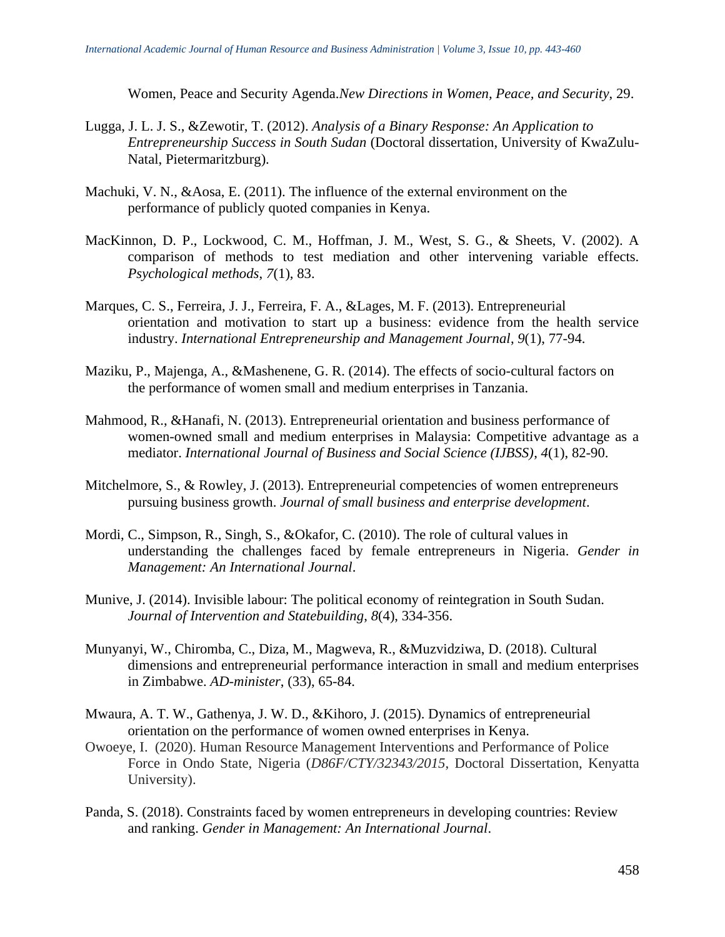Women, Peace and Security Agenda.*New Directions in Women, Peace, and Security*, 29.

- Lugga, J. L. J. S., &Zewotir, T. (2012). *Analysis of a Binary Response: An Application to Entrepreneurship Success in South Sudan* (Doctoral dissertation, University of KwaZulu-Natal, Pietermaritzburg).
- Machuki, V. N., &Aosa, E. (2011). The influence of the external environment on the performance of publicly quoted companies in Kenya.
- MacKinnon, D. P., Lockwood, C. M., Hoffman, J. M., West, S. G., & Sheets, V. (2002). A comparison of methods to test mediation and other intervening variable effects. *Psychological methods*, *7*(1), 83.
- Marques, C. S., Ferreira, J. J., Ferreira, F. A., &Lages, M. F. (2013). Entrepreneurial orientation and motivation to start up a business: evidence from the health service industry. *International Entrepreneurship and Management Journal*, *9*(1), 77-94.
- Maziku, P., Majenga, A., &Mashenene, G. R. (2014). The effects of socio-cultural factors on the performance of women small and medium enterprises in Tanzania.
- Mahmood, R., &Hanafi, N. (2013). Entrepreneurial orientation and business performance of women-owned small and medium enterprises in Malaysia: Competitive advantage as a mediator. *International Journal of Business and Social Science (IJBSS)*, *4*(1), 82-90.
- Mitchelmore, S., & Rowley, J. (2013). Entrepreneurial competencies of women entrepreneurs pursuing business growth. *Journal of small business and enterprise development*.
- Mordi, C., Simpson, R., Singh, S., &Okafor, C. (2010). The role of cultural values in understanding the challenges faced by female entrepreneurs in Nigeria. *Gender in Management: An International Journal*.
- Munive, J. (2014). Invisible labour: The political economy of reintegration in South Sudan. *Journal of Intervention and Statebuilding*, *8*(4), 334-356.
- Munyanyi, W., Chiromba, C., Diza, M., Magweva, R., &Muzvidziwa, D. (2018). Cultural dimensions and entrepreneurial performance interaction in small and medium enterprises in Zimbabwe. *AD-minister*, (33), 65-84.
- Mwaura, A. T. W., Gathenya, J. W. D., &Kihoro, J. (2015). Dynamics of entrepreneurial orientation on the performance of women owned enterprises in Kenya.
- Owoeye, I. (2020). Human Resource Management Interventions and Performance of Police Force in Ondo State, Nigeria (*D86F/CTY/32343/2015*, Doctoral Dissertation, Kenyatta University).
- Panda, S. (2018). Constraints faced by women entrepreneurs in developing countries: Review and ranking. *Gender in Management: An International Journal*.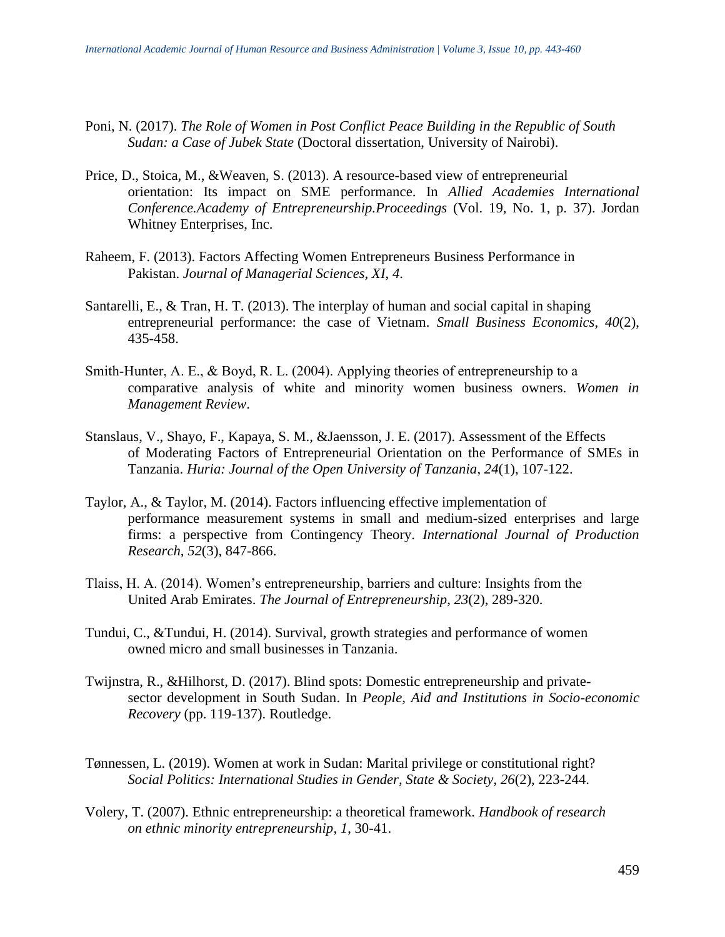- Poni, N. (2017). *The Role of Women in Post Conflict Peace Building in the Republic of South Sudan: a Case of Jubek State* (Doctoral dissertation, University of Nairobi).
- Price, D., Stoica, M., &Weaven, S. (2013). A resource-based view of entrepreneurial orientation: Its impact on SME performance. In *Allied Academies International Conference.Academy of Entrepreneurship.Proceedings* (Vol. 19, No. 1, p. 37). Jordan Whitney Enterprises, Inc.
- Raheem, F. (2013). Factors Affecting Women Entrepreneurs Business Performance in Pakistan. *Journal of Managerial Sciences, XI*, *4*.
- Santarelli, E., & Tran, H. T. (2013). The interplay of human and social capital in shaping entrepreneurial performance: the case of Vietnam. *Small Business Economics*, *40*(2), 435-458.
- Smith–Hunter, A. E., & Boyd, R. L. (2004). Applying theories of entrepreneurship to a comparative analysis of white and minority women business owners. *Women in Management Review*.
- Stanslaus, V., Shayo, F., Kapaya, S. M., &Jaensson, J. E. (2017). Assessment of the Effects of Moderating Factors of Entrepreneurial Orientation on the Performance of SMEs in Tanzania. *Huria: Journal of the Open University of Tanzania*, *24*(1), 107-122.
- Taylor, A., & Taylor, M. (2014). Factors influencing effective implementation of performance measurement systems in small and medium-sized enterprises and large firms: a perspective from Contingency Theory. *International Journal of Production Research*, *52*(3), 847-866.
- Tlaiss, H. A. (2014). Women's entrepreneurship, barriers and culture: Insights from the United Arab Emirates. *The Journal of Entrepreneurship*, *23*(2), 289-320.
- Tundui, C., &Tundui, H. (2014). Survival, growth strategies and performance of women owned micro and small businesses in Tanzania.
- Twijnstra, R., &Hilhorst, D. (2017). Blind spots: Domestic entrepreneurship and privatesector development in South Sudan. In *People, Aid and Institutions in Socio-economic Recovery* (pp. 119-137). Routledge.
- Tønnessen, L. (2019). Women at work in Sudan: Marital privilege or constitutional right? *Social Politics: International Studies in Gender, State & Society*, *26*(2), 223-244.
- Volery, T. (2007). Ethnic entrepreneurship: a theoretical framework. *Handbook of research on ethnic minority entrepreneurship*, *1*, 30-41.